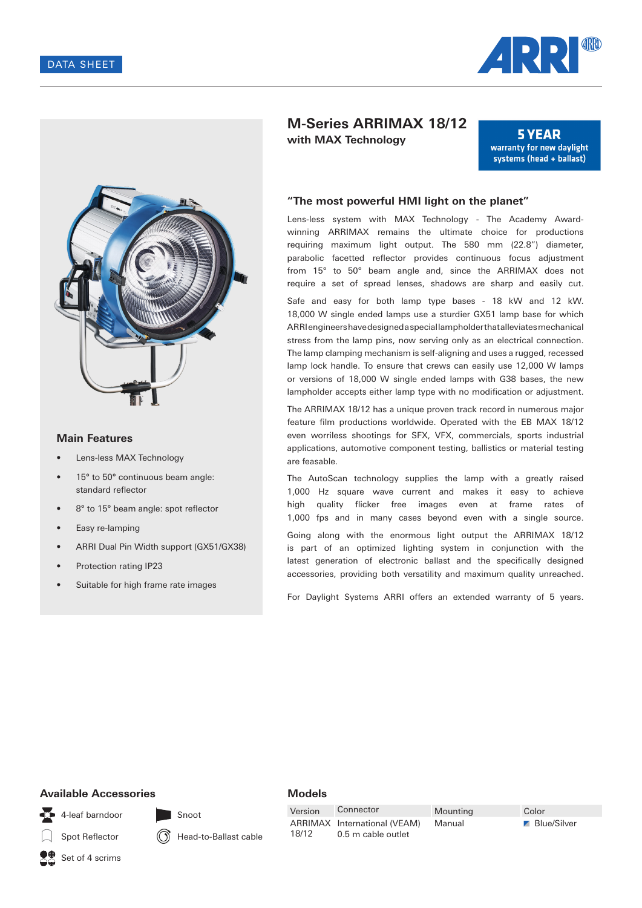



#### **Main Features**

- Lens-less MAX Technology
- 15° to 50° continuous beam angle: standard reflector
- 8° to 15° beam angle: spot reflector
- Easy re-lamping
- ARRI Dual Pin Width support (GX51/GX38)
- Protection rating IP23
- Suitable for high frame rate images

# **M-Series ARRIMAX 18/12 with MAX Technology**

**5 YEAR** warranty for new daylight systems (head + ballast)

#### **"The most powerful HMI light on the planet"**

Lens-less system with MAX Technology - The Academy Awardwinning ARRIMAX remains the ultimate choice for productions requiring maximum light output. The 580 mm (22.8") diameter, parabolic facetted reflector provides continuous focus adjustment from 15° to 50° beam angle and, since the ARRIMAX does not require a set of spread lenses, shadows are sharp and easily cut. Safe and easy for both lamp type bases - 18 kW and 12 kW. 18,000 W single ended lamps use a sturdier GX51 lamp base for which ARRI engineers have designed a special lampholder that alleviates mechanical stress from the lamp pins, now serving only as an electrical connection. The lamp clamping mechanism is self-aligning and uses a rugged, recessed lamp lock handle. To ensure that crews can easily use 12,000 W lamps or versions of 18,000 W single ended lamps with G38 bases, the new lampholder accepts either lamp type with no modification or adjustment.

The ARRIMAX 18/12 has a unique proven track record in numerous major feature film productions worldwide. Operated with the EB MAX 18/12 even worriless shootings for SFX, VFX, commercials, sports industrial applications, automotive component testing, ballistics or material testing are feasable.

The AutoScan technology supplies the lamp with a greatly raised 1,000 Hz square wave current and makes it easy to achieve high quality flicker free images even at frame rates of 1,000 fps and in many cases beyond even with a single source.

Going along with the enormous light output the ARRIMAX 18/12 is part of an optimized lighting system in conjunction with the latest generation of electronic ballast and the specifically designed accessories, providing both versatility and maximum quality unreached.

For Daylight Systems ARRI offers an extended warranty of 5 years.

### **Available Accessories**

4-leaf barndoor

Spot Reflector

Head-to-Ballast cable

Snoot

Version Connector Mounting Color ARRIMAX International (VEAM) 18/12

**Models**

0.5 m cable outlet

Manual **Blue/Silver** 

Set of 4 scrims